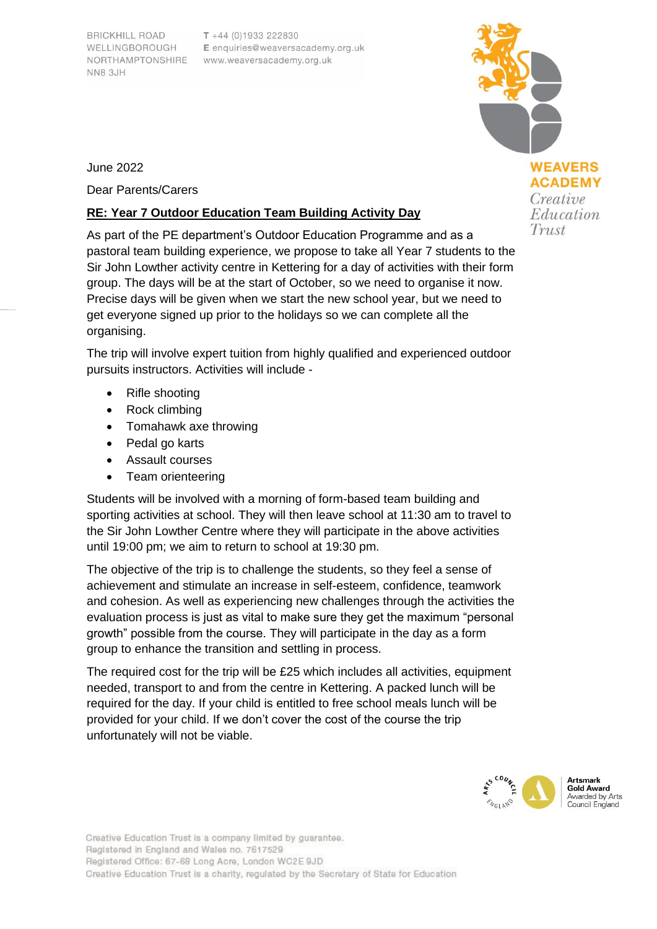**BRICKHILL ROAD** WELLINGBOROUGH NORTHAMPTONSHIRE **NN8 3JH** 

 $T + 44 (0)1933 222830$ E enquiries@weaversacademy.org.uk www.weaversacademy.org.uk

June 2022

Dear Parents/Carers

## **RE: Year 7 Outdoor Education Team Building Activity Day**

As part of the PE department's Outdoor Education Programme and as a pastoral team building experience, we propose to take all Year 7 students to the Sir John Lowther activity centre in Kettering for a day of activities with their form group. The days will be at the start of October, so we need to organise it now. Precise days will be given when we start the new school year, but we need to get everyone signed up prior to the holidays so we can complete all the organising.

The trip will involve expert tuition from highly qualified and experienced outdoor pursuits instructors. Activities will include -

- Rifle shooting
- Rock climbing
- Tomahawk axe throwing
- Pedal go karts
- Assault courses
- Team orienteering

Students will be involved with a morning of form-based team building and sporting activities at school. They will then leave school at 11:30 am to travel to the Sir John Lowther Centre where they will participate in the above activities until 19:00 pm; we aim to return to school at 19:30 pm.

The objective of the trip is to challenge the students, so they feel a sense of achievement and stimulate an increase in self-esteem, confidence, teamwork and cohesion. As well as experiencing new challenges through the activities the evaluation process is just as vital to make sure they get the maximum "personal growth" possible from the course. They will participate in the day as a form group to enhance the transition and settling in process.

The required cost for the trip will be £25 which includes all activities, equipment needed, transport to and from the centre in Kettering. A packed lunch will be required for the day. If your child is entitled to free school meals lunch will be provided for your child. If we don't cover the cost of the course the trip unfortunately will not be viable.



**WEAVERS ACADEMY** Creative Education Trust